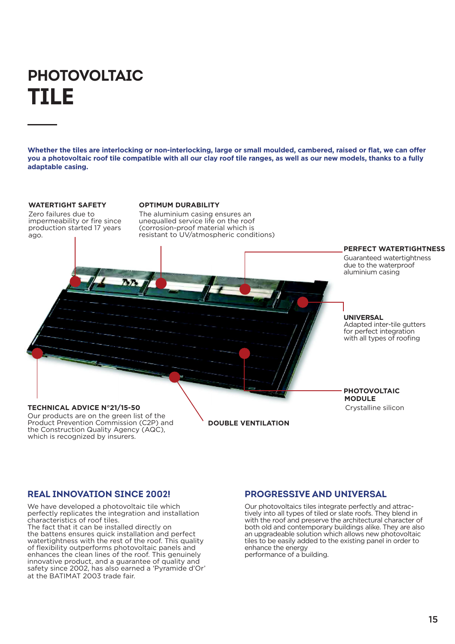# **PHOTOVOLTAIC TILE**

**Whether the tiles are interlocking or non-interlocking, large or small moulded, cambered, raised or flat, we can offer you a photovoltaic roof tile compatible with all our clay roof tile ranges, as well as our new models, thanks to a fully adaptable casing.**

### **WATERTIGHT SAFETY**

Zero failures due to impermeability or fire since production started 17 years ago.

### **OPTIMUM DURABILITY**

The aluminium casing ensures an unequalled service life on the roof (corrosion-proof material which is resistant to UV/atmospheric conditions)



### Our products are on the green list of the Product Prevention Commission (C2P) and

the Construction Quality Agency (AQC), which is recognized by insurers.

**DOUBLE VENTILATION**

## **REAL INNOVATION SINCE 2002!**

We have developed a photovoltaic tile which perfectly replicates the integration and installation characteristics of roof tiles. The fact that it can be installed directly on the battens ensures quick installation and perfect watertightness with the rest of the roof. This quality of flexibility outperforms photovoltaic panels and enhances the clean lines of the roof. This genuinely innovative product, and a guarantee of quality and safety since 2002, has also earned a 'Pyramide d'Or' at the BATIMAT 2003 trade fair.

## **PROGRESSIVE AND UNIVERSAL**

Our photovoltaics tiles integrate perfectly and attractively into all types of tiled or slate roofs. They blend in with the roof and preserve the architectural character of both old and contemporary buildings alike. They are also an upgradeable solution which allows new photovoltaic tiles to be easily added to the existing panel in order to enhance the energy performance of a building.

15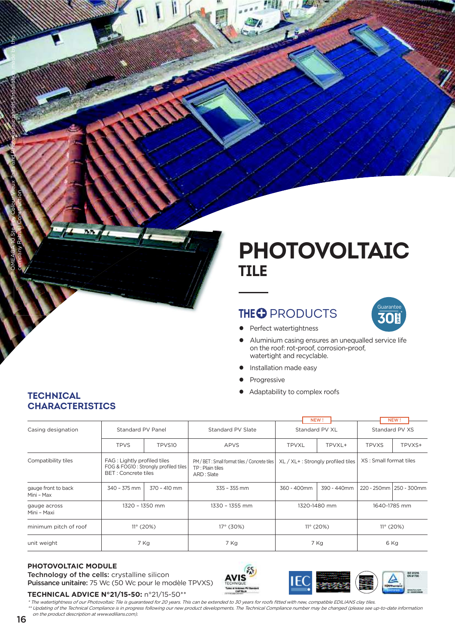# **PHOTOVOLTAIC TILE**

山田

# **THEO PRODUCTS**



- Perfect watertightness  $\bullet$
- Aluminium casing ensures an unequalled service life  $\bullet$ on the roof: rot-proof. corrosion-proof. watertight and recyclable.
- Installation made easy  $\bullet$
- Progressive Ċ
- Adaptability to complex roofs  $\bullet$

|                                   |                                                                                              |              |                                                                                | NEW!                              |             | NEW!                   |                           |
|-----------------------------------|----------------------------------------------------------------------------------------------|--------------|--------------------------------------------------------------------------------|-----------------------------------|-------------|------------------------|---------------------------|
| Casing designation                | Standard PV Panel                                                                            |              | Standard PV Slate                                                              | Standard PV XL                    |             | Standard PV XS         |                           |
|                                   | <b>TPVS</b>                                                                                  | TPVS10       | <b>APVS</b>                                                                    | <b>TPVXL</b>                      | TPVXL+      | <b>TPVXS</b>           | TPVXS+                    |
| Compatibility tiles               | FAG: Lightly profiled tiles<br>FOG & FOG10 : Strongly profiled tiles<br>BET : Concrete tiles |              | PM / BET: Small format tiles / Concrete tiles<br>TP: Plain tiles<br>ARD: Slate | XL / XL+: Strongly profiled tiles |             | XS: Small format tiles |                           |
| gauge front to back<br>Mini - Max | 340 - 375 mm                                                                                 | 370 - 410 mm | $335 - 355$ mm                                                                 | 360 - 400mm                       | 390 - 440mm |                        | 220 - 250mm   250 - 300mm |
| gauge across<br>Mini - Maxi       | 1320 - 1350 mm                                                                               |              | 1330 - 1355 mm                                                                 | 1320-1480 mm                      |             | 1640-1785 mm           |                           |
| minimum pitch of roof             | $11^{\circ}$ (20%)                                                                           |              | $17^{\circ}$ (30%)                                                             | $11^{\circ}$ (20%)                |             | $11^{\circ}$ (20%)     |                           |
| unit weight                       | 7 Kg                                                                                         |              | 7 Kg                                                                           | 7 Kg                              |             | 6 Kg                   |                           |

## PHOTOVOLTAIC MODULE

Technology of the cells: crystalline silicon Puissance unitaire: 75 Wc (50 Wc pour le modèle TPVXS)





TECHNICAL ADVICE N°21/15-50: n°21/15-50\*\*

\* The watertightness of our Photovoltaic Tile is guaranteed for 20 years. This can be extended to 30 years for roofs fitted with new, compatible EDILIANS clay tiles. \*\*\*Updating of the Technical Compliance is in progress following our new product developments. The Technical Compliance number may be changed (please see up-to-date information on the product description at www.edilians.com).

## **TECHNICAL CHARACTERISTICS**